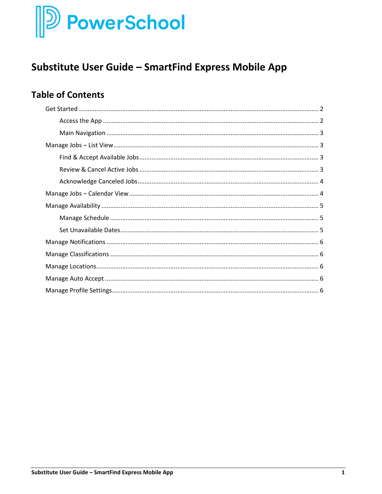# $\mathbb P$  PowerSchool

# **Substitute User Guide - SmartFind Express Mobile App**

# **Table of Contents**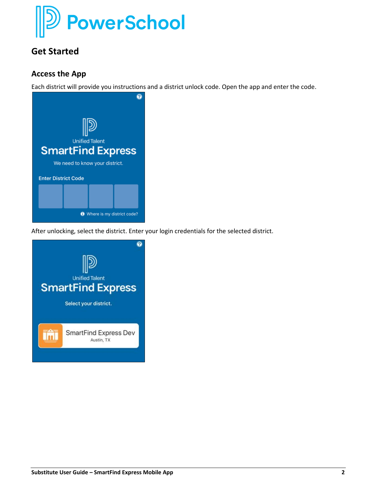

# <span id="page-1-0"></span>**Get Started**

#### <span id="page-1-1"></span>**Access the App**

Each district will provide you instructions and a district unlock code. Open the app and enter the code.



After unlocking, select the district. Enter your login credentials for the selected district.

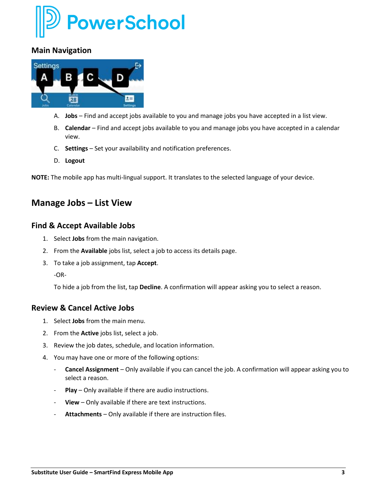

#### <span id="page-2-0"></span>**Main Navigation**



- A. **Jobs** Find and accept jobs available to you and manage jobs you have accepted in a list view.
- B. **Calendar**  Find and accept jobs available to you and manage jobs you have accepted in a calendar view.
- C. **Settings** Set your availability and notification preferences.
- D. **Logout**

<span id="page-2-1"></span>**NOTE:** The mobile app has multi-lingual support. It translates to the selected language of your device.

## **Manage Jobs – List View**

#### <span id="page-2-2"></span>**Find & Accept Available Jobs**

- 1. Select **Jobs** from the main navigation.
- 2. From the **Available** jobs list, select a job to access its details page.
- 3. To take a job assignment, tap **Accept**.

To hide a job from the list, tap **Decline**. A confirmation will appear asking you to select a reason.

#### <span id="page-2-3"></span>**Review & Cancel Active Jobs**

- 1. Select **Jobs** from the main menu.
- 2. From the **Active** jobs list, select a job.
- 3. Review the job dates, schedule, and location information.
- 4. You may have one or more of the following options:
	- **Cancel Assignment** Only available if you can cancel the job. A confirmation will appear asking you to select a reason.
	- Play Only available if there are audio instructions.
	- **View** Only available if there are text instructions.
	- **Attachments** Only available if there are instruction files.

<sup>-</sup>OR-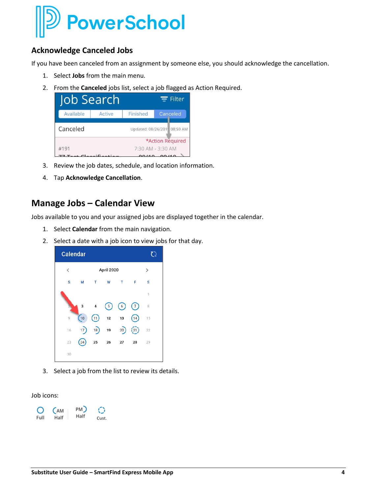

#### <span id="page-3-0"></span>**Acknowledge Canceled Jobs**

If you have been canceled from an assignment by someone else, you should acknowledge the cancellation.

- 1. Select **Jobs** from the main menu.
- 2. From the **Canceled** jobs list, select a job flagged as Action Required.

| Job Search |                   |                             |  | $\equiv$ Filter  |
|------------|-------------------|-----------------------------|--|------------------|
| Available  | Active            | Finished                    |  | Canceled         |
| Canceled   |                   | Updated: 08/26/201 08:59 AM |  |                  |
|            |                   |                             |  | *Action Required |
| #191       | 7:30 AM - 3:30 AM |                             |  |                  |
|            |                   |                             |  |                  |

- 3. Review the job dates, schedule, and location information.
- 4. Tap **Acknowledge Cancellation**.

### <span id="page-3-1"></span>**Manage Jobs – Calendar View**

Jobs available to you and your assigned jobs are displayed together in the calendar.

- 1. Select **Calendar** from the main navigation.
- 2. Select a date with a job icon to view jobs for that day.



3. Select a job from the list to review its details.

Job icons:

| Ő    | C <sub>AM</sub> | PM)  |       |
|------|-----------------|------|-------|
| Full | Half            | Half | Cust. |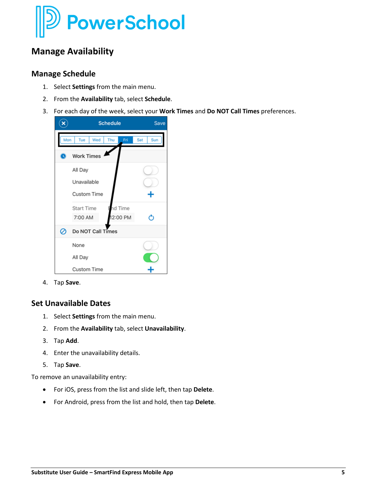

## <span id="page-4-0"></span>**Manage Availability**

#### <span id="page-4-1"></span>**Manage Schedule**

- 1. Select **Settings** from the main menu.
- 2. From the **Availability** tab, select **Schedule**.
- 3. For each day of the week, select your **Work Times** and **Do NOT Call Times** preferences.



4. Tap **Save**.

#### <span id="page-4-2"></span>**Set Unavailable Dates**

- 1. Select **Settings** from the main menu.
- 2. From the **Availability** tab, select **Unavailability**.
- 3. Tap **Add**.
- 4. Enter the unavailability details.
- 5. Tap **Save**.

To remove an unavailability entry:

- For iOS, press from the list and slide left, then tap **Delete**.
- <span id="page-4-3"></span>• For Android, press from the list and hold, then tap **Delete**.